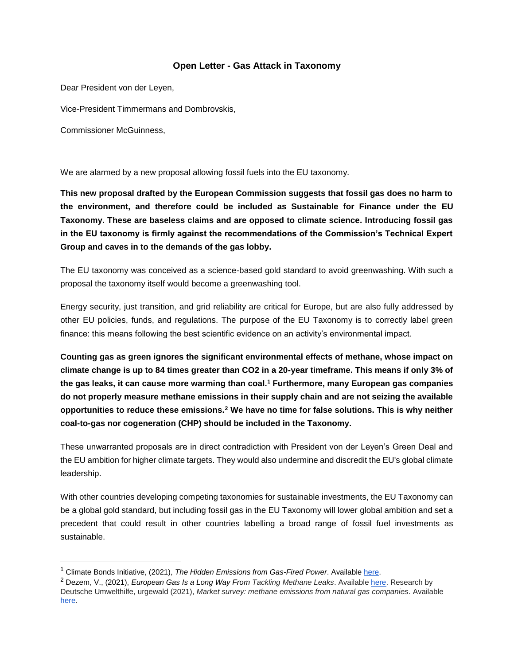## **Open Letter - Gas Attack in Taxonomy**

Dear President von der Leyen,

Vice-President Timmermans and Dombrovskis,

Commissioner McGuinness,

We are alarmed by a new proposal allowing fossil fuels into the EU taxonomy.

**This new proposal drafted by the European Commission suggests that fossil gas does no harm to the environment, and therefore could be included as Sustainable for Finance under the EU Taxonomy. These are baseless claims and are opposed to climate science. Introducing fossil gas in the EU taxonomy is firmly against the recommendations of the Commission's Technical Expert Group and caves in to the demands of the gas lobby.** 

The EU taxonomy was conceived as a science-based gold standard to avoid greenwashing. With such a proposal the taxonomy itself would become a greenwashing tool.

Energy security, just transition, and grid reliability are critical for Europe, but are also fully addressed by other EU policies, funds, and regulations. The purpose of the EU Taxonomy is to correctly label green finance: this means following the best scientific evidence on an activity's environmental impact.

**Counting gas as green ignores the significant environmental effects of methane, whose impact on climate change is up to 84 times greater than CO2 in a 20-year timeframe. This means if only 3% of the gas leaks, it can cause more warming than coal.<sup>1</sup> Furthermore, many European gas companies do not properly measure methane emissions in their supply chain and are not seizing the available opportunities to reduce these emissions.<sup>2</sup> We have no time for false solutions. This is why neither coal-to-gas nor cogeneration (CHP) should be included in the Taxonomy.**

These unwarranted proposals are in direct contradiction with President von der Leyen's Green Deal and the EU ambition for higher climate targets. They would also undermine and discredit the EU's global climate leadership.

With other countries developing competing taxonomies for sustainable investments, the EU Taxonomy can be a global gold standard, but including fossil gas in the EU Taxonomy will lower global ambition and set a precedent that could result in other countries labelling a broad range of fossil fuel investments as sustainable.

<sup>1</sup> Climate Bonds Initiative, (2021), *The Hidden Emissions from Gas-Fired Power*. Availabl[e here.](https://www.climatebonds.net/files/files/eu-gas-briefing-220221.pdf)

<sup>2</sup> Dezem, V., (2021), *European Gas Is a Long Way From Tackling Methane Leaks*. Available [here.](https://www.bloomberg.com/news/articles/2021-03-17/european-natural-gas-is-a-long-way-from-tackling-methane-leaks) Research by Deutsche Umwelthilfe, urgewald (2021), *Market survey: methane emissions from natural gas companies*. Available [here.](https://www.duh.de/fileadmin/user_upload/download/Projektinformation/Energiewende/Positionspapier_Markabfrage_Gas_2021_ENG_20210316_FINAL.pdf)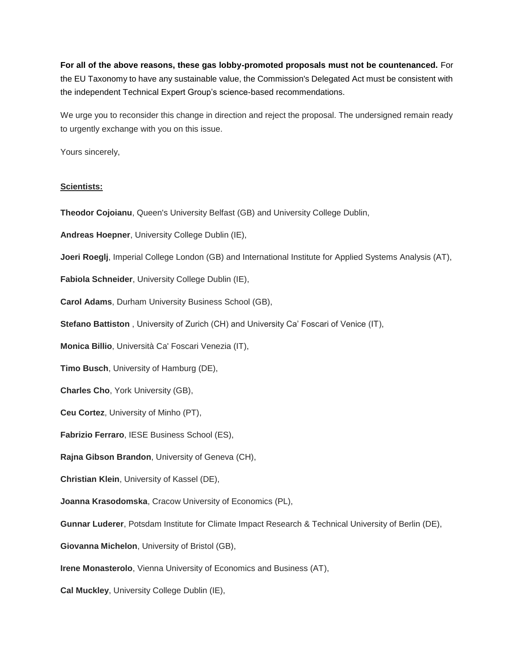**For all of the above reasons, these gas lobby-promoted proposals must not be countenanced.** For the EU Taxonomy to have any sustainable value, the Commission's Delegated Act must be consistent with the independent Technical Expert Group's science-based recommendations.

We urge you to reconsider this change in direction and reject the proposal. The undersigned remain ready to urgently exchange with you on this issue.

Yours sincerely,

### **Scientists:**

**Theodor Cojoianu**, Queen's University Belfast (GB) and University College Dublin,

**Andreas Hoepner**, University College Dublin (IE),

**Joeri Roeglj**, Imperial College London (GB) and International Institute for Applied Systems Analysis (AT),

**Fabiola Schneider**, University College Dublin (IE),

**Carol Adams**, Durham University Business School (GB),

**Stefano Battiston** , University of Zurich (CH) and University Ca' Foscari of Venice (IT),

**Monica Billio**, Università Ca' Foscari Venezia (IT),

**Timo Busch**, University of Hamburg (DE),

**Charles Cho**, York University (GB),

**Ceu Cortez**, University of Minho (PT),

**Fabrizio Ferraro**, IESE Business School (ES),

**Rajna Gibson Brandon**, University of Geneva (CH),

**Christian Klein**, University of Kassel (DE),

**Joanna Krasodomska**, Cracow University of Economics (PL),

**Gunnar Luderer**, Potsdam Institute for Climate Impact Research & Technical University of Berlin (DE),

**Giovanna Michelon**, University of Bristol (GB),

**Irene Monasterolo**, Vienna University of Economics and Business (AT),

**Cal Muckley**, University College Dublin (IE),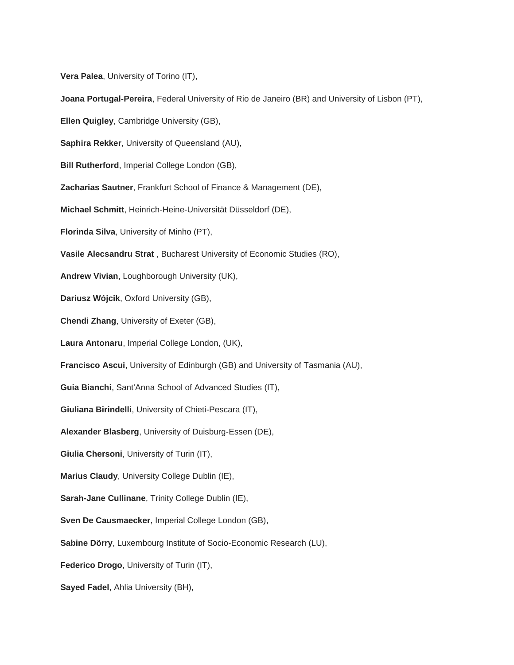**Vera Palea**, University of Torino (IT),

**Joana Portugal-Pereira**, Federal University of Rio de Janeiro (BR) and University of Lisbon (PT),

**Ellen Quigley**, Cambridge University (GB),

**Saphira Rekker**, University of Queensland (AU),

**Bill Rutherford**, Imperial College London (GB),

**Zacharias Sautner**, Frankfurt School of Finance & Management (DE),

**Michael Schmitt**, Heinrich-Heine-Universität Düsseldorf (DE),

**Florinda Silva**, University of Minho (PT),

**Vasile Alecsandru Strat** , Bucharest University of Economic Studies (RO),

**Andrew Vivian**, Loughborough University (UK),

**Dariusz Wójcik**, Oxford University (GB),

**Chendi Zhang**, University of Exeter (GB),

**Laura Antonaru**, Imperial College London, (UK),

**Francisco Ascui**, University of Edinburgh (GB) and University of Tasmania (AU),

**Guia Bianchi**, Sant'Anna School of Advanced Studies (IT),

**Giuliana Birindelli**, University of Chieti-Pescara (IT),

**Alexander Blasberg**, University of Duisburg-Essen (DE),

**Giulia Chersoni**, University of Turin (IT),

**Marius Claudy**, University College Dublin (IE),

**Sarah-Jane Cullinane**, Trinity College Dublin (IE),

**Sven De Causmaecker**, Imperial College London (GB),

**Sabine Dörry**, Luxembourg Institute of Socio-Economic Research (LU),

**Federico Drogo**, University of Turin (IT),

**Sayed Fadel**, Ahlia University (BH),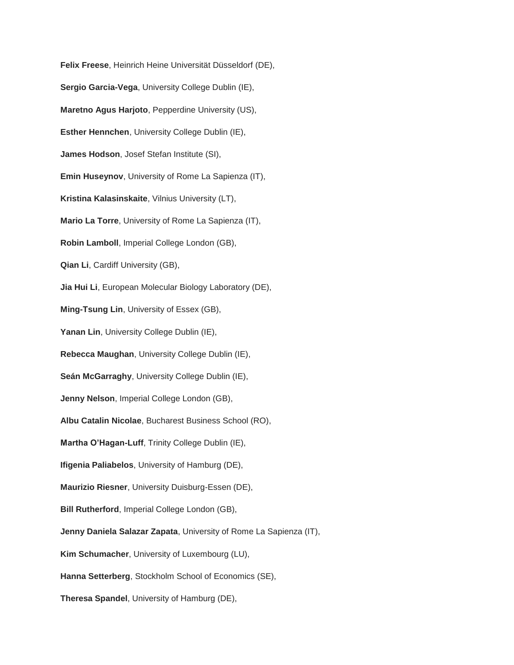**Felix Freese**, Heinrich Heine Universität Düsseldorf (DE), **Sergio Garcia-Vega**, University College Dublin (IE), **Maretno Agus Harjoto**, Pepperdine University (US), **Esther Hennchen**, University College Dublin (IE), **James Hodson**, Josef Stefan Institute (SI), **Emin Huseynov**, University of Rome La Sapienza (IT), **Kristina Kalasinskaite**, Vilnius University (LT), **Mario La Torre**, University of Rome La Sapienza (IT), **Robin Lamboll**, Imperial College London (GB), **Qian Li**, Cardiff University (GB), **Jia Hui Li**, European Molecular Biology Laboratory (DE), **Ming-Tsung Lin**, University of Essex (GB), Yanan Lin, University College Dublin (IE), **Rebecca Maughan**, University College Dublin (IE), **Seán McGarraghy**, University College Dublin (IE), **Jenny Nelson**, Imperial College London (GB), **Albu Catalin Nicolae**, Bucharest Business School (RO), **Martha O'Hagan-Luff**, Trinity College Dublin (IE), **Ifigenia Paliabelos**, University of Hamburg (DE), **Maurizio Riesner**, University Duisburg-Essen (DE), **Bill Rutherford**, Imperial College London (GB), **Jenny Daniela Salazar Zapata**, University of Rome La Sapienza (IT), **Kim Schumacher**, University of Luxembourg (LU), **Hanna Setterberg**, Stockholm School of Economics (SE), **Theresa Spandel**, University of Hamburg (DE),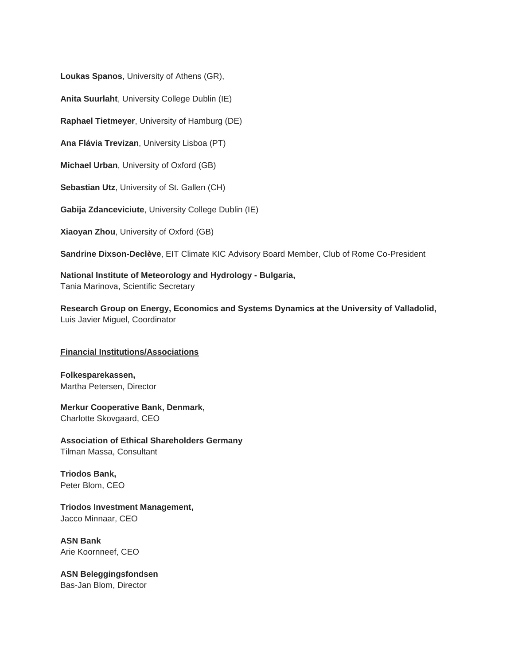**Loukas Spanos**, University of Athens (GR),

**Anita Suurlaht**, University College Dublin (IE)

**Raphael Tietmeyer**, University of Hamburg (DE)

**Ana Flávia Trevizan**, University Lisboa (PT)

**Michael Urban**, University of Oxford (GB)

**Sebastian Utz**, University of St. Gallen (CH)

**Gabija Zdanceviciute**, University College Dublin (IE)

**Xiaoyan Zhou**, University of Oxford (GB)

**Sandrine Dixson-Declève**, EIT Climate KIC Advisory Board Member, Club of Rome Co-President

**National Institute of Meteorology and Hydrology - Bulgaria,** Tania Marinova, Scientific Secretary

**Research Group on Energy, Economics and Systems Dynamics at the University of Valladolid,** Luis Javier Miguel, Coordinator

### **Financial Institutions/Associations**

**Folkesparekassen,** Martha Petersen, Director

**Merkur Cooperative Bank, Denmark,** Charlotte Skovgaard, CEO

**Association of Ethical Shareholders Germany** Tilman Massa, Consultant

**Triodos Bank,** Peter Blom, CEO

**Triodos Investment Management,** Jacco Minnaar, CEO

**ASN Bank** Arie Koornneef, CEO

**ASN Beleggingsfondsen** Bas-Jan Blom, Director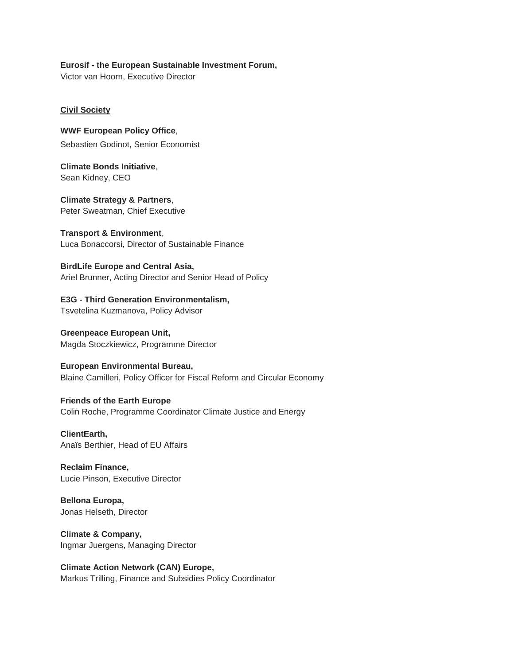# **Eurosif - the European Sustainable Investment Forum,**

Victor van Hoorn, Executive Director

### **Civil Society**

**WWF European Policy Office**, Sebastien Godinot, Senior Economist

**Climate Bonds Initiative**, Sean Kidney, CEO

**Climate Strategy & Partners**, Peter Sweatman, Chief Executive

**Transport & Environment**, Luca Bonaccorsi, Director of Sustainable Finance

**BirdLife Europe and Central Asia,** Ariel Brunner, Acting Director and Senior Head of Policy

**E3G - Third Generation Environmentalism,** Tsvetelina Kuzmanova, Policy Advisor

**Greenpeace European Unit,** Magda Stoczkiewicz, Programme Director

**European Environmental Bureau,** Blaine Camilleri, Policy Officer for Fiscal Reform and Circular Economy

**Friends of the Earth Europe** Colin Roche, Programme Coordinator Climate Justice and Energy

**ClientEarth,** Anaïs Berthier, Head of EU Affairs

**Reclaim Finance,** Lucie Pinson, Executive Director

**Bellona Europa,** Jonas Helseth, Director

**Climate & Company,** Ingmar Juergens, Managing Director

**Climate Action Network (CAN) Europe,** Markus Trilling, Finance and Subsidies Policy Coordinator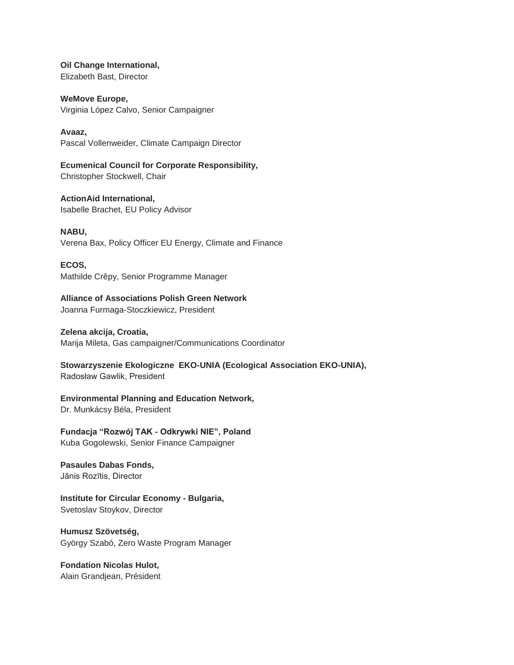**Oil Change International,** Elizabeth Bast, Director

**WeMove Europe,** Virginia López Calvo, Senior Campaigner

**Avaaz,** Pascal Vollenweider, Climate Campaign Director

**Ecumenical Council for Corporate Responsibility,** Christopher Stockwell, Chair

**ActionAid International,** Isabelle Brachet, EU Policy Advisor

**NABU,** Verena Bax, Policy Officer EU Energy, Climate and Finance

**ECOS,** Mathilde Crêpy, Senior Programme Manager

**Alliance of Associations Polish Green Network** Joanna Furmaga-Stoczkiewicz, President

**Zelena akcija, Croatia,** Marija Mileta, Gas campaigner/Communications Coordinator

**Stowarzyszenie Ekologiczne EKO-UNIA (Ecological Association EKO-UNIA),** Radosław Gawlik, President

**Environmental Planning and Education Network,**

Dr. Munkácsy Béla, President

**Fundacja "Rozwój TAK - Odkrywki NIE", Poland**  Kuba Gogolewski, Senior Finance Campaigner

**Pasaules Dabas Fonds,** Jānis Rozītis, Director

**Institute for Circular Economy - Bulgaria,** Svetoslav Stoykov, Director

**Humusz Szövetség,** György Szabó, Zero Waste Program Manager

**Fondation Nicolas Hulot,** Alain Grandjean, Président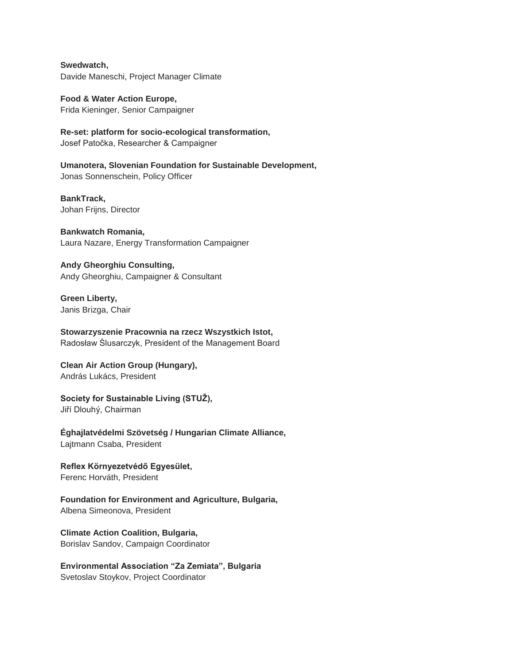**Swedwatch,** Davide Maneschi, Project Manager Climate

**Food & Water Action Europe,** Frida Kieninger, Senior Campaigner

**Re-set: platform for socio-ecological transformation,** Josef Patočka, Researcher & Campaigner

**Umanotera, Slovenian Foundation for Sustainable Development,** Jonas Sonnenschein, Policy Officer

**BankTrack,** Johan Frijns, Director

**Bankwatch Romania,** Laura Nazare, Energy Transformation Campaigner

**Andy Gheorghiu Consulting,** Andy Gheorghiu, Campaigner & Consultant

**Green Liberty,** Janis Brizga, Chair

**Stowarzyszenie Pracownia na rzecz Wszystkich Istot,** Radosław Ślusarczyk, President of the Management Board

**Clean Air Action Group (Hungary),** András Lukács, President

**Society for Sustainable Living (STUŽ),** Jiří Dlouhý, Chairman

**Éghajlatvédelmi Szövetség / Hungarian Climate Alliance,** Lajtmann Csaba, President

**Reflex Környezetvédő Egyesület,** Ferenc Horváth, President

**Foundation for Environment and Agriculture, Bulgaria,** Albena Simeonova, President

**Climate Action Coalition, Bulgaria,** Borislav Sandov, Campaign Coordinator

**Environmental Association "Za Zemiata", Bulgaria** Svetoslav Stoykov, Project Coordinator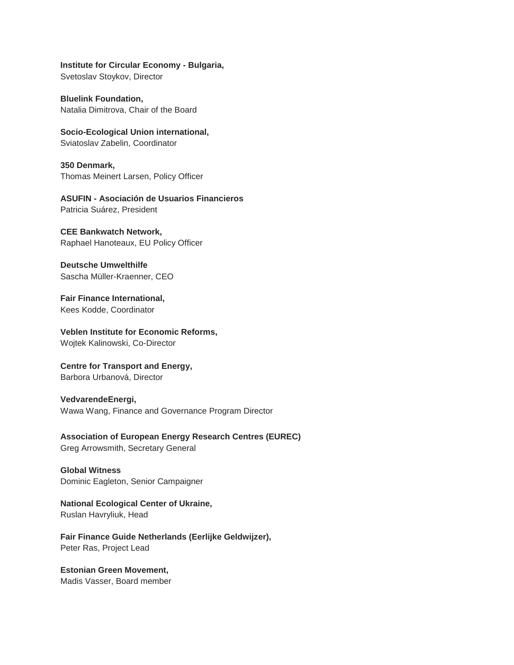**Institute for Circular Economy - Bulgaria,**

Svetoslav Stoykov, Director

**Bluelink Foundation,** Natalia Dimitrova, Chair of the Board

**Socio-Ecological Union international,** Sviatoslav Zabelin, Coordinator

**350 Denmark,** Thomas Meinert Larsen, Policy Officer

**ASUFIN - Asociación de Usuarios Financieros** Patricia Suárez, President

## **CEE Bankwatch Network,**

Raphael Hanoteaux, EU Policy Officer

**Deutsche Umwelthilfe** Sascha Müller-Kraenner, CEO

**Fair Finance International,** Kees Kodde, Coordinator

**Veblen Institute for Economic Reforms,** Wojtek Kalinowski, Co-Director

**Centre for Transport and Energy,** Barbora Urbanová, Director

**VedvarendeEnergi,** Wawa Wang, Finance and Governance Program Director

**Association of European Energy Research Centres (EUREC)** Greg Arrowsmith, Secretary General

**Global Witness** Dominic Eagleton, Senior Campaigner

**National Ecological Center of Ukraine,** Ruslan Havryliuk, Head

**Fair Finance Guide Netherlands (Eerlijke Geldwijzer),** Peter Ras, Project Lead

**Estonian Green Movement,** Madis Vasser, Board member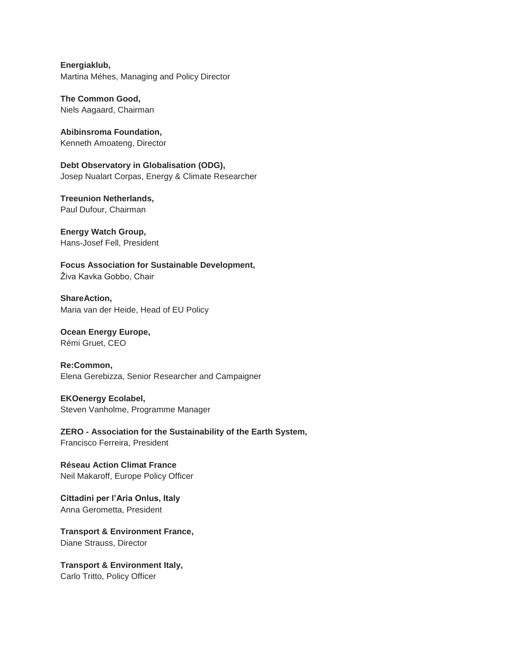**Energiaklub,** Martina Méhes, Managing and Policy Director

**The Common Good,** Niels Aagaard, Chairman

**Abibinsroma Foundation,** Kenneth Amoateng, Director

**Debt Observatory in Globalisation (ODG),** Josep Nualart Corpas, Energy & Climate Researcher

**Treeunion Netherlands,** Paul Dufour, Chairman

**Energy Watch Group,** Hans-Josef Fell, President

**Focus Association for Sustainable Development,** Živa Kavka Gobbo, Chair

**ShareAction,** Maria van der Heide, Head of EU Policy

**Ocean Energy Europe,** Rémi Gruet, CEO

**Re:Common,** Elena Gerebizza, Senior Researcher and Campaigner

**EKOenergy Ecolabel,** Steven Vanholme, Programme Manager

**ZERO - Association for the Sustainability of the Earth System,** Francisco Ferreira, President

**Réseau Action Climat France** Neil Makaroff, Europe Policy Officer

**Cittadini per l'Aria Onlus, Italy** Anna Gerometta, President

**Transport & Environment France,** Diane Strauss, Director

**Transport & Environment Italy,** Carlo Tritto, Policy Officer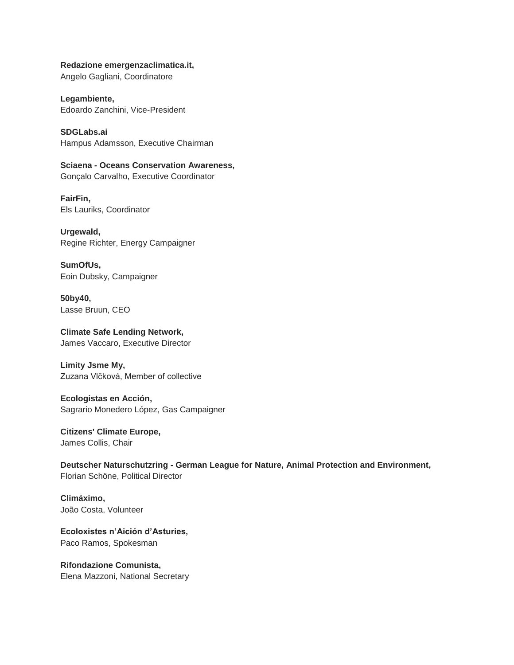**Redazione emergenzaclimatica.it,** Angelo Gagliani, Coordinatore

**Legambiente,** Edoardo Zanchini, Vice-President

**SDGLabs.ai** Hampus Adamsson, Executive Chairman

**Sciaena - Oceans Conservation Awareness,** Gonçalo Carvalho, Executive Coordinator

**FairFin,** Els Lauriks, Coordinator

**Urgewald,** Regine Richter, Energy Campaigner

**SumOfUs,** Eoin Dubsky, Campaigner

**50by40,**  Lasse Bruun, CEO

**Climate Safe Lending Network,** James Vaccaro, Executive Director

**Limity Jsme My,** Zuzana Vlčková, Member of collective

**Ecologistas en Acción,** Sagrario Monedero López, Gas Campaigner

**Citizens' Climate Europe,** James Collis, Chair

**Deutscher Naturschutzring - German League for Nature, Animal Protection and Environment,** Florian Schöne, Political Director

**Climáximo,** João Costa, Volunteer

**Ecoloxistes n'Aición d'Asturies,** Paco Ramos, Spokesman

**Rifondazione Comunista,** Elena Mazzoni, National Secretary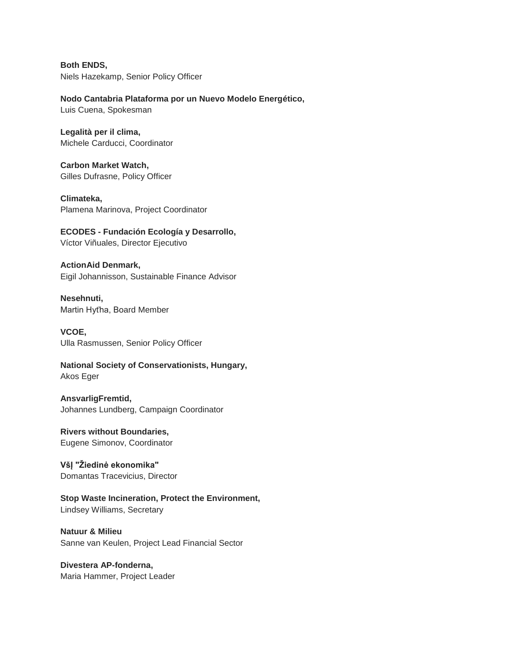**Both ENDS,** Niels Hazekamp, Senior Policy Officer

**Nodo Cantabria Plataforma por un Nuevo Modelo Energético,**

Luis Cuena, Spokesman

**Legalità per il clima,** Michele Carducci, Coordinator

**Carbon Market Watch,** Gilles Dufrasne, Policy Officer

**Climateka,** Plamena Marinova, Project Coordinator

**ECODES - Fundación Ecología y Desarrollo,** Víctor Viñuales, Director Ejecutivo

**ActionAid Denmark,** Eigil Johannisson, Sustainable Finance Advisor

**Nesehnuti,** Martin Hyťha, Board Member

**VCOE,** Ulla Rasmussen, Senior Policy Officer

**National Society of Conservationists, Hungary,** Akos Eger

**AnsvarligFremtid,** Johannes Lundberg, Campaign Coordinator

**Rivers without Boundaries,** Eugene Simonov, Coordinator

**VšĮ "Žiedinė ekonomika"** Domantas Tracevicius, Director

**Stop Waste Incineration, Protect the Environment,** Lindsey Williams, Secretary

**Natuur & Milieu** Sanne van Keulen, Project Lead Financial Sector

**Divestera AP-fonderna,** Maria Hammer, Project Leader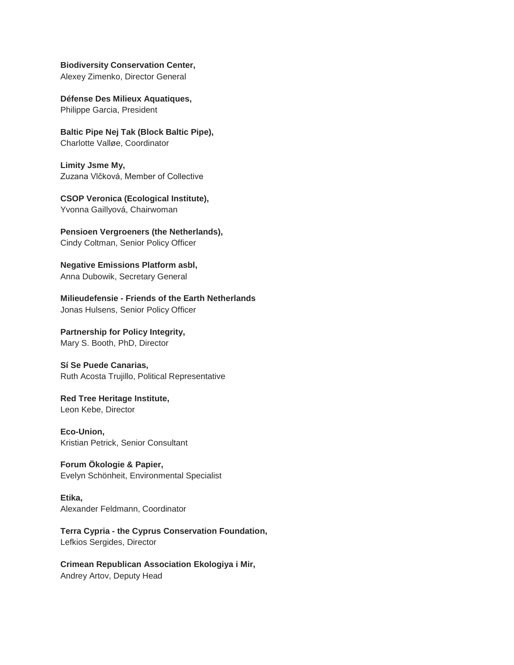#### **Biodiversity Conservation Center,**

Alexey Zimenko, Director General

**Défense Des Milieux Aquatiques,** Philippe Garcia, President

**Baltic Pipe Nej Tak (Block Baltic Pipe),** Charlotte Valløe, Coordinator

**Limity Jsme My,** Zuzana Vlčková, Member of Collective

**CSOP Veronica (Ecological Institute),** Yvonna Gaillyová, Chairwoman

**Pensioen Vergroeners (the Netherlands),** Cindy Coltman, Senior Policy Officer

**Negative Emissions Platform asbl,** Anna Dubowik, Secretary General

**Milieudefensie - Friends of the Earth Netherlands** Jonas Hulsens, Senior Policy Officer

**Partnership for Policy Integrity,** Mary S. Booth, PhD, Director

**Sí Se Puede Canarias,** Ruth Acosta Trujillo, Political Representative

**Red Tree Heritage Institute,** Leon Kebe, Director

**Eco-Union,** Kristian Petrick, Senior Consultant

**Forum Ökologie & Papier,** Evelyn Schönheit, Environmental Specialist

**Etika,** Alexander Feldmann, Coordinator

**Terra Cypria - the Cyprus Conservation Foundation,** Lefkios Sergides, Director

**Crimean Republican Association Ekologiya i Mir,**  Andrey Artov, Deputy Head